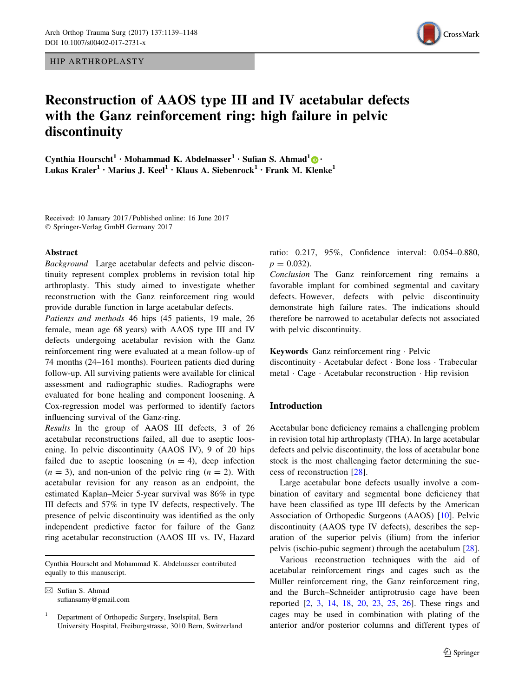HIP ARTHROPLASTY



# Reconstruction of AAOS type III and IV acetabular defects with the Ganz reinforcement ring: high failure in pelvic discontinuity

Cynthia Hourscht<sup>1</sup> • Mohammad K. Abdelnasser<sup>1</sup> • Sufian S. Ahmad<sup>1</sup>  $\bigcirc$  • Lukas Kraler<sup>1</sup> • Marius J. Keel<sup>1</sup> • Klaus A. Siebenrock<sup>1</sup> • Frank M. Klenke<sup>1</sup>

Received: 10 January 2017 / Published online: 16 June 2017 - Springer-Verlag GmbH Germany 2017

#### Abstract

Background Large acetabular defects and pelvic discontinuity represent complex problems in revision total hip arthroplasty. This study aimed to investigate whether reconstruction with the Ganz reinforcement ring would provide durable function in large acetabular defects.

Patients and methods 46 hips (45 patients, 19 male, 26 female, mean age 68 years) with AAOS type III and IV defects undergoing acetabular revision with the Ganz reinforcement ring were evaluated at a mean follow-up of 74 months (24–161 months). Fourteen patients died during follow-up. All surviving patients were available for clinical assessment and radiographic studies. Radiographs were evaluated for bone healing and component loosening. A Cox-regression model was performed to identify factors influencing survival of the Ganz-ring.

Results In the group of AAOS III defects, 3 of 26 acetabular reconstructions failed, all due to aseptic loosening. In pelvic discontinuity (AAOS IV), 9 of 20 hips failed due to aseptic loosening  $(n = 4)$ , deep infection  $(n = 3)$ , and non-union of the pelvic ring  $(n = 2)$ . With acetabular revision for any reason as an endpoint, the estimated Kaplan–Meier 5-year survival was 86% in type III defects and 57% in type IV defects, respectively. The presence of pelvic discontinuity was identified as the only independent predictive factor for failure of the Ganz ring acetabular reconstruction (AAOS III vs. IV, Hazard

Cynthia Hourscht and Mohammad K. Abdelnasser contributed equally to this manuscript.

 $\boxtimes$  Sufian S. Ahmad sufiansamy@gmail.com ratio: 0.217, 95%, Confidence interval: 0.054–0.880,  $p = 0.032$ .

Conclusion The Ganz reinforcement ring remains a favorable implant for combined segmental and cavitary defects. However, defects with pelvic discontinuity demonstrate high failure rates. The indications should therefore be narrowed to acetabular defects not associated with pelvic discontinuity.

Keywords Ganz reinforcement ring - Pelvic discontinuity - Acetabular defect - Bone loss - Trabecular metal - Cage - Acetabular reconstruction - Hip revision

# Introduction

Acetabular bone deficiency remains a challenging problem in revision total hip arthroplasty (THA). In large acetabular defects and pelvic discontinuity, the loss of acetabular bone stock is the most challenging factor determining the success of reconstruction [[28\]](#page-9-0).

Large acetabular bone defects usually involve a combination of cavitary and segmental bone deficiency that have been classified as type III defects by the American Association of Orthopedic Surgeons (AAOS) [[10\]](#page-9-0). Pelvic discontinuity (AAOS type IV defects), describes the separation of the superior pelvis (ilium) from the inferior pelvis (ischio-pubic segment) through the acetabulum [\[28](#page-9-0)].

Various reconstruction techniques with the aid of acetabular reinforcement rings and cages such as the Müller reinforcement ring, the Ganz reinforcement ring, and the Burch–Schneider antiprotrusio cage have been reported [\[2](#page-8-0), [3](#page-8-0), [14](#page-9-0), [18](#page-9-0), [20](#page-9-0), [23](#page-9-0), [25](#page-9-0), [26](#page-9-0)]. These rings and cages may be used in combination with plating of the anterior and/or posterior columns and different types of

<sup>1</sup> Department of Orthopedic Surgery, Inselspital, Bern University Hospital, Freiburgstrasse, 3010 Bern, Switzerland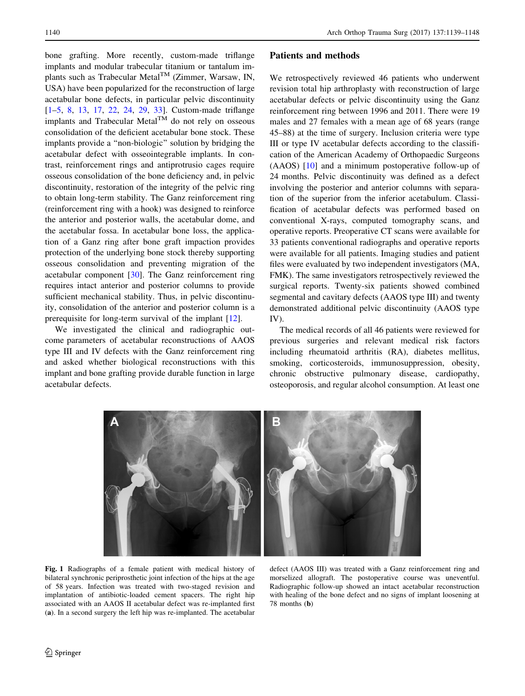<span id="page-1-0"></span>bone grafting. More recently, custom-made triflange implants and modular trabecular titanium or tantalum implants such as Trabecular Metal $^{TM}$  (Zimmer, Warsaw, IN, USA) have been popularized for the reconstruction of large acetabular bone defects, in particular pelvic discontinuity [\[1–5](#page-8-0), [8](#page-8-0), [13,](#page-9-0) [17,](#page-9-0) [22,](#page-9-0) [24](#page-9-0), [29](#page-9-0), [33](#page-9-0)]. Custom-made triflange implants and Trabecular Metal<sup>TM</sup> do not rely on osseous consolidation of the deficient acetabular bone stock. These implants provide a ''non-biologic'' solution by bridging the acetabular defect with osseointegrable implants. In contrast, reinforcement rings and antiprotrusio cages require osseous consolidation of the bone deficiency and, in pelvic discontinuity, restoration of the integrity of the pelvic ring to obtain long-term stability. The Ganz reinforcement ring (reinforcement ring with a hook) was designed to reinforce the anterior and posterior walls, the acetabular dome, and the acetabular fossa. In acetabular bone loss, the application of a Ganz ring after bone graft impaction provides protection of the underlying bone stock thereby supporting osseous consolidation and preventing migration of the acetabular component [\[30](#page-9-0)]. The Ganz reinforcement ring requires intact anterior and posterior columns to provide sufficient mechanical stability. Thus, in pelvic discontinuity, consolidation of the anterior and posterior column is a prerequisite for long-term survival of the implant [[12\]](#page-9-0).

We investigated the clinical and radiographic outcome parameters of acetabular reconstructions of AAOS type III and IV defects with the Ganz reinforcement ring and asked whether biological reconstructions with this implant and bone grafting provide durable function in large acetabular defects.

## Patients and methods

We retrospectively reviewed 46 patients who underwent revision total hip arthroplasty with reconstruction of large acetabular defects or pelvic discontinuity using the Ganz reinforcement ring between 1996 and 2011. There were 19 males and 27 females with a mean age of 68 years (range 45–88) at the time of surgery. Inclusion criteria were type III or type IV acetabular defects according to the classification of the American Academy of Orthopaedic Surgeons (AAOS) [\[10](#page-9-0)] and a minimum postoperative follow-up of 24 months. Pelvic discontinuity was defined as a defect involving the posterior and anterior columns with separation of the superior from the inferior acetabulum. Classification of acetabular defects was performed based on conventional X-rays, computed tomography scans, and operative reports. Preoperative CT scans were available for 33 patients conventional radiographs and operative reports were available for all patients. Imaging studies and patient files were evaluated by two independent investigators (MA, FMK). The same investigators retrospectively reviewed the surgical reports. Twenty-six patients showed combined segmental and cavitary defects (AAOS type III) and twenty demonstrated additional pelvic discontinuity (AAOS type IV).

The medical records of all 46 patients were reviewed for previous surgeries and relevant medical risk factors including rheumatoid arthritis (RA), diabetes mellitus, smoking, corticosteroids, immunosuppression, obesity, chronic obstructive pulmonary disease, cardiopathy, osteoporosis, and regular alcohol consumption. At least one



Fig. 1 Radiographs of a female patient with medical history of bilateral synchronic periprosthetic joint infection of the hips at the age of 58 years. Infection was treated with two-staged revision and implantation of antibiotic-loaded cement spacers. The right hip associated with an AAOS II acetabular defect was re-implanted first (a). In a second surgery the left hip was re-implanted. The acetabular

defect (AAOS III) was treated with a Ganz reinforcement ring and morselized allograft. The postoperative course was uneventful. Radiographic follow-up showed an intact acetabular reconstruction with healing of the bone defect and no signs of implant loosening at 78 months (b)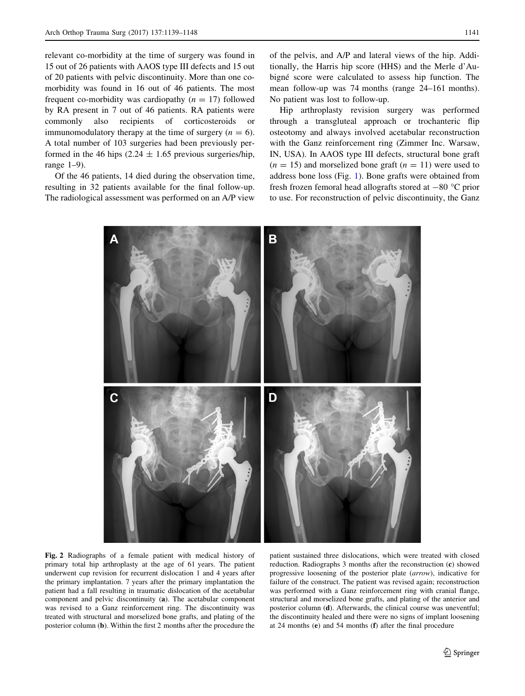range 1–9).

<span id="page-2-0"></span>relevant co-morbidity at the time of surgery was found in 15 out of 26 patients with AAOS type III defects and 15 out of 20 patients with pelvic discontinuity. More than one comorbidity was found in 16 out of 46 patients. The most frequent co-morbidity was cardiopathy  $(n = 17)$  followed by RA present in 7 out of 46 patients. RA patients were commonly also recipients of corticosteroids or immunomodulatory therapy at the time of surgery  $(n = 6)$ . A total number of 103 surgeries had been previously performed in the 46 hips  $(2.24 \pm 1.65$  previous surgeries/hip,

Of the 46 patients, 14 died during the observation time, resulting in 32 patients available for the final follow-up. The radiological assessment was performed on an A/P view

Hip arthroplasty revision surgery was performed through a transgluteal approach or trochanteric flip osteotomy and always involved acetabular reconstruction with the Ganz reinforcement ring (Zimmer Inc. Warsaw, IN, USA). In AAOS type III defects, structural bone graft  $(n = 15)$  and morselized bone graft  $(n = 11)$  were used to address bone loss (Fig. [1\)](#page-1-0). Bone grafts were obtained from fresh frozen femoral head allografts stored at  $-80$  °C prior to use. For reconstruction of pelvic discontinuity, the Ganz



Fig. 2 Radiographs of a female patient with medical history of primary total hip arthroplasty at the age of 61 years. The patient underwent cup revision for recurrent dislocation 1 and 4 years after the primary implantation. 7 years after the primary implantation the patient had a fall resulting in traumatic dislocation of the acetabular component and pelvic discontinuity (a). The acetabular component was revised to a Ganz reinforcement ring. The discontinuity was treated with structural and morselized bone grafts, and plating of the posterior column (b). Within the first 2 months after the procedure the patient sustained three dislocations, which were treated with closed reduction. Radiographs 3 months after the reconstruction (c) showed progressive loosening of the posterior plate (arrow), indicative for failure of the construct. The patient was revised again; reconstruction was performed with a Ganz reinforcement ring with cranial flange, structural and morselized bone grafts, and plating of the anterior and posterior column (d). Afterwards, the clinical course was uneventful; the discontinuity healed and there were no signs of implant loosening at 24 months (e) and 54 months (f) after the final procedure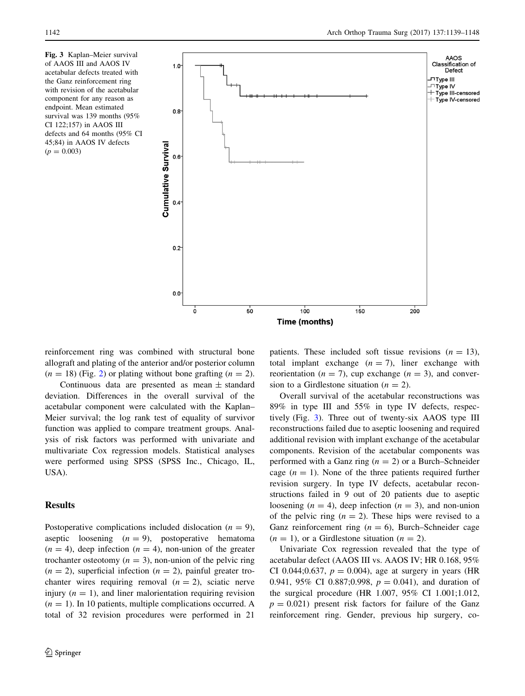Fig. 3 Kaplan–Meier survival of AAOS III and AAOS IV acetabular defects treated with the Ganz reinforcement ring with revision of the acetabular component for any reason as endpoint. Mean estimated survival was 139 months (95% CI 122;157) in AAOS III defects and 64 months (95% CI 45;84) in AAOS IV defects  $(p = 0.003)$ 



reinforcement ring was combined with structural bone allograft and plating of the anterior and/or posterior column  $(n = 18)$  (Fig. [2](#page-2-0)) or plating without bone grafting  $(n = 2)$ .

Continuous data are presented as mean  $\pm$  standard deviation. Differences in the overall survival of the acetabular component were calculated with the Kaplan– Meier survival; the log rank test of equality of survivor function was applied to compare treatment groups. Analysis of risk factors was performed with univariate and multivariate Cox regression models. Statistical analyses were performed using SPSS (SPSS Inc., Chicago, IL, USA).

# Results

Postoperative complications included dislocation ( $n = 9$ ), aseptic loosening  $(n = 9)$ , postoperative hematoma  $(n = 4)$ , deep infection  $(n = 4)$ , non-union of the greater trochanter osteotomy  $(n = 3)$ , non-union of the pelvic ring  $(n = 2)$ , superficial infection  $(n = 2)$ , painful greater trochanter wires requiring removal  $(n = 2)$ , sciatic nerve injury  $(n = 1)$ , and liner malorientation requiring revision  $(n = 1)$ . In 10 patients, multiple complications occurred. A total of 32 revision procedures were performed in 21

patients. These included soft tissue revisions  $(n = 13)$ , total implant exchange  $(n = 7)$ , liner exchange with reorientation ( $n = 7$ ), cup exchange ( $n = 3$ ), and conversion to a Girdlestone situation ( $n = 2$ ).

Overall survival of the acetabular reconstructions was 89% in type III and 55% in type IV defects, respectively (Fig. 3). Three out of twenty-six AAOS type III reconstructions failed due to aseptic loosening and required additional revision with implant exchange of the acetabular components. Revision of the acetabular components was performed with a Ganz ring  $(n = 2)$  or a Burch–Schneider cage  $(n = 1)$ . None of the three patients required further revision surgery. In type IV defects, acetabular reconstructions failed in 9 out of 20 patients due to aseptic loosening  $(n = 4)$ , deep infection  $(n = 3)$ , and non-union of the pelvic ring  $(n = 2)$ . These hips were revised to a Ganz reinforcement ring  $(n = 6)$ , Burch–Schneider cage  $(n = 1)$ , or a Girdlestone situation  $(n = 2)$ .

Univariate Cox regression revealed that the type of acetabular defect (AAOS III vs. AAOS IV; HR 0.168, 95% CI 0.044;0.637,  $p = 0.004$ ), age at surgery in years (HR 0.941, 95% CI 0.887;0.998,  $p = 0.041$ ), and duration of the surgical procedure (HR 1.007, 95% CI 1.001;1.012,  $p = 0.021$ ) present risk factors for failure of the Ganz reinforcement ring. Gender, previous hip surgery, co-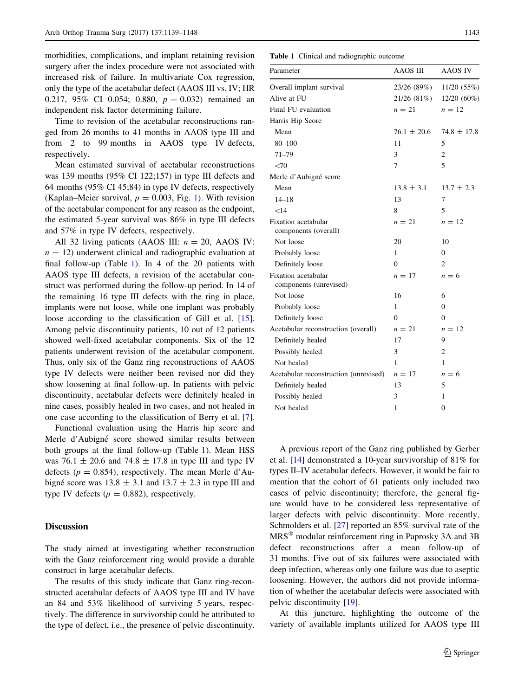morbidities, complications, and implant retaining revision surgery after the index procedure were not associated with increased risk of failure. In multivariate Cox regression, only the type of the acetabular defect (AAOS III vs. IV; HR 0.217, 95% CI 0.054; 0.880,  $p = 0.032$  remained an independent risk factor determining failure.

Time to revision of the acetabular reconstructions ranged from 26 months to 41 months in AAOS type III and from 2 to 99 months in AAOS type IV defects, respectively.

Mean estimated survival of acetabular reconstructions was 139 months (95% CI 122;157) in type III defects and 64 months (95% CI 45;84) in type IV defects, respectively (Kaplan–Meier survival,  $p = 0.003$ , Fig. [1\)](#page-1-0). With revision of the acetabular component for any reason as the endpoint, the estimated 5-year survival was 86% in type III defects and 57% in type IV defects, respectively.

All 32 living patients (AAOS III:  $n = 20$ , AAOS IV:  $n = 12$ ) underwent clinical and radiographic evaluation at final follow-up (Table 1). In 4 of the 20 patients with AAOS type III defects, a revision of the acetabular construct was performed during the follow-up period. In 14 of the remaining 16 type III defects with the ring in place, implants were not loose, while one implant was probably loose according to the classification of Gill et al. [\[15](#page-9-0)]. Among pelvic discontinuity patients, 10 out of 12 patients showed well-fixed acetabular components. Six of the 12 patients underwent revision of the acetabular component. Thus, only six of the Ganz ring reconstructions of AAOS type IV defects were neither been revised nor did they show loosening at final follow-up. In patients with pelvic discontinuity, acetabular defects were definitely healed in nine cases, possibly healed in two cases, and not healed in one case according to the classification of Berry et al. [\[7](#page-8-0)].

Functional evaluation using the Harris hip score and Merle d'Aubigné score showed similar results between both groups at the final follow-up (Table 1). Mean HSS was 76.1  $\pm$  20.6 and 74.8  $\pm$  17.8 in type III and type IV defects ( $p = 0.854$ ), respectively. The mean Merle d'Aubigné score was  $13.8 \pm 3.1$  and  $13.7 \pm 2.3$  in type III and type IV defects ( $p = 0.882$ ), respectively.

### **Discussion**

The study aimed at investigating whether reconstruction with the Ganz reinforcement ring would provide a durable construct in large acetabular defects.

The results of this study indicate that Ganz ring-reconstructed acetabular defects of AAOS type III and IV have an 84 and 53% likelihood of surviving 5 years, respectively. The difference in survivorship could be attributed to the type of defect, i.e., the presence of pelvic discontinuity.

Table 1 Clinical and radiographic outcome

| Parameter                                     | AAOS III        | AAOS IV         |
|-----------------------------------------------|-----------------|-----------------|
| Overall implant survival                      | 23/26 (89%)     | 11/20 (55%)     |
| Alive at FU                                   | 21/26 (81%)     | $12/20(60\%)$   |
| Final FU evaluation                           | $n=21$          | $n=12$          |
| Harris Hip Score                              |                 |                 |
| Mean                                          | $76.1 \pm 20.6$ | $74.8 \pm 17.8$ |
| $80 - 100$                                    | 11              | 5               |
| $71 - 79$                                     | 3               | $\overline{2}$  |
| < 70                                          | 7               | 5               |
| Merle d'Aubigné score                         |                 |                 |
| Mean                                          | $13.8 \pm 3.1$  | $13.7 \pm 2.3$  |
| $14 - 18$                                     | 13              | 7               |
| $<$ 14                                        | 8               | 5               |
| Fixation acetabular<br>components (overall)   | $n=21$          | $n=12$          |
| Not loose                                     | 20              | 10              |
| Probably loose                                | 1               | $\Omega$        |
| Definitely loose                              | $\Omega$        | $\overline{c}$  |
| Fixation acetabular<br>components (unrevised) | $n=17$          | $n=6$           |
| Not loose                                     | 16              | 6               |
| Probably loose                                | 1               | $\theta$        |
| Definitely loose                              | $\Omega$        | $\Omega$        |
| Acetabular reconstruction (overall)           | $n=21$          | $n=12$          |
| Definitely healed                             | 17              | 9               |
| Possibly healed                               | 3               | $\overline{2}$  |
| Not healed                                    | 1               | 1               |
| Acetabular reconstruction (unrevised)         | $n=17$          | $n=6$           |
| Definitely healed                             | 13              | 5               |
| Possibly healed                               | 3               | 1               |
| Not healed                                    | 1               | 0               |

A previous report of the Ganz ring published by Gerber et al. [[14\]](#page-9-0) demonstrated a 10-year survivorship of 81% for types II–IV acetabular defects. However, it would be fair to mention that the cohort of 61 patients only included two cases of pelvic discontinuity; therefore, the general figure would have to be considered less representative of larger defects with pelvic discontinuity. More recently, Schmolders et al. [\[27](#page-9-0)] reported an 85% survival rate of the MRS<sup>®</sup> modular reinforcement ring in Paprosky 3A and 3B defect reconstructions after a mean follow-up of 31 months. Five out of six failures were associated with deep infection, whereas only one failure was due to aseptic loosening. However, the authors did not provide information of whether the acetabular defects were associated with pelvic discontinuity [[19\]](#page-9-0).

At this juncture, highlighting the outcome of the variety of available implants utilized for AAOS type III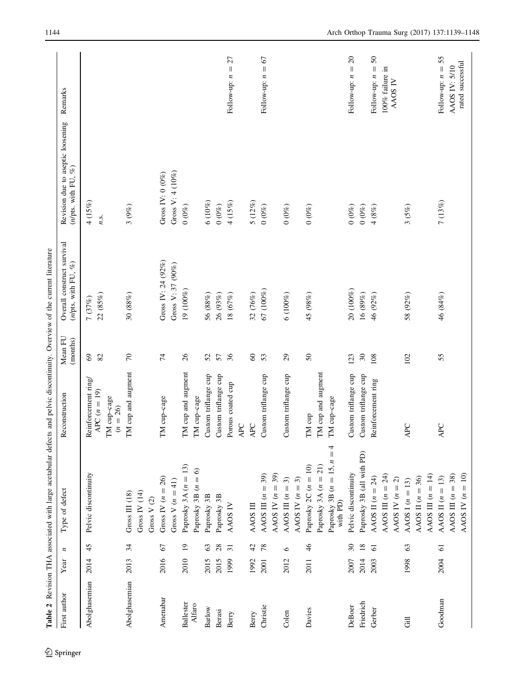<span id="page-5-0"></span>

|                            |      |                  | Table 2 Revision THA associated with large acetabular defects and pelvic discontinuity. Overview of the current literature |                                                                    |                     |                                                       |                                                                      |                                         |
|----------------------------|------|------------------|----------------------------------------------------------------------------------------------------------------------------|--------------------------------------------------------------------|---------------------|-------------------------------------------------------|----------------------------------------------------------------------|-----------------------------------------|
| First author               | Year | $\boldsymbol{z}$ | Type of defect                                                                                                             | Reconstruction                                                     | Mean FU<br>(months) | Overall construct survival<br>(n/pts. with FU, $\%$ ) | Revision due to aseptic loosening<br>$(n\mathrm{pts.}$ with FU, $\%$ | Remarks                                 |
| Abolghasemian              | 2014 | 45               | Pelvic discontinuity                                                                                                       | Reinforcement ring/<br>$APC (n = 19)$<br>TM cup-cage<br>$(n = 26)$ | $69\,$<br>82        | 22(85%)<br>$7(37%)$                                   | 4 (15%)<br>n.s.                                                      |                                         |
| Abolghasemian              | 2013 | 34               | Gross IV $(14)$<br>Gross $III$ $(18)$<br>Gross V $(2)$                                                                     | TM cup and augment                                                 | $\sqrt{2}$          | 30(88%)                                               | 3(9%)                                                                |                                         |
| Amenabar                   | 2016 | 67               | Gross IV $(n = 26)$<br>Gross V $(n=41)$                                                                                    | TM cup-cage                                                        | $\overline{7}$      | Gross IV: 24 (92%)<br>Gross V: 37 (90%)               | Gross V: $4(10%)$<br>Gross IV: $0$ (0%)                              |                                         |
| <b>Ballester</b><br>Alfaro | 2010 | $\overline{1}$   | Paprosky 3A $(n = 13)$<br>$\widehat{\circ}$<br>Paprosky 3B $(n =$                                                          | TM cup and augment<br>TM cup-cage                                  | $\frac{26}{5}$      | 19 (100%)                                             | $0\ (0\%)$                                                           |                                         |
| Barlow                     | 2015 | 63               | Paprosky 3B                                                                                                                | Custom triflange cup                                               | 52                  | 56 (88%)                                              | 6(10%)                                                               |                                         |
| Berasi                     | 2015 | 28               | Paprosky 3B                                                                                                                | Custom triflange cup                                               | 57                  | 26 (93%)                                              | $0\ (0\%)$                                                           |                                         |
| Berry                      | 1999 | $\overline{31}$  | AAOS IV                                                                                                                    | Porous coated cup<br>$\mathsf{APC}$                                | 36                  | 18(67%)                                               | $4~(15\%)$                                                           | Follow-up: $n = 27$                     |
| Berry                      | 1992 | $\overline{4}$   | AAOS III                                                                                                                   | APC                                                                | $\pmb{\mathcal{S}}$ | 32 (76%)                                              | 5(12%)                                                               |                                         |
| Christie                   | 2001 | 78               | AAOS III $(n = 39)$                                                                                                        | Custom triflange cup                                               | 53                  | 67 (100%)                                             | $0\ (0\%)$                                                           | Follow-up: $n = 67$                     |
| Colen                      | 2012 | $\circ$          | 39)<br>$\widehat{\mathcal{E}}$<br>AAOS IV $(n =$<br>AAOS II $(n =$                                                         | Custom triflange cup                                               | $\mathfrak{S}$      | 6(100%)                                               | $0\ (0\%)$                                                           |                                         |
|                            |      |                  | AAOS IV $(n = 3)$                                                                                                          |                                                                    |                     |                                                       |                                                                      |                                         |
| Davies                     | 2011 | 46               | Paprosky $2C (n = 10)$                                                                                                     | TM cup                                                             | $\sqrt{5}$          | 45 (98%)                                              | 0(0%                                                                 |                                         |
|                            |      |                  | Paprosky 3B $(n = 15, n = 4$<br>Paprosky 3A $(n = 21)$<br>with PD)                                                         | TM cup and augment<br>TM cup-cage                                  |                     |                                                       |                                                                      |                                         |
| DeBoer                     | 2007 | $\mathcal{S}$    | Pelvic discontinuity                                                                                                       | Custom triflange cup                                               | 123                 | 20 (100%)                                             | $0(0\%)$                                                             | $\Omega$<br>$\parallel$<br>Follow-up: n |
| Friedrich                  | 2014 | $18\,$           | Paprosky 3B (all with PD)                                                                                                  | Custom triflange cup                                               | $\mathfrak{S}$      | 16(89%)                                               | $0\ (0\%)$                                                           |                                         |
| Gerber                     | 2003 | $\overline{6}$   | AAOS II $(n = 24)$                                                                                                         | Reinforcement ring                                                 | 108                 | 46 (92%)                                              | $4~(8\%)$                                                            | $\mathcal{S}$<br>Follow-up: $n =$       |
|                            |      |                  | AAOS III $(n = 24)$<br>AAOS IV $(n = 2)$                                                                                   |                                                                    |                     |                                                       |                                                                      | 100% failure in<br>AAOS IV              |
| 言                          | 1998 | 63               | AAOS I $(n = 13)$                                                                                                          | <b>APC</b>                                                         | 102                 | 58 (92%)                                              | 3(5%)                                                                |                                         |
|                            |      |                  | AAOS III $(n = 14)$<br>AAOS II $(n = 36)$                                                                                  |                                                                    |                     |                                                       |                                                                      |                                         |
| Goodman                    | 2004 | $\overline{6}$   | AAOS II $(n = 13)$                                                                                                         | APC                                                                | 55                  | 46 (84%)                                              | 7(13%)                                                               | Follow-up: $n = 55$                     |
|                            |      |                  | AAOS III $(n = 38)$                                                                                                        |                                                                    |                     |                                                       |                                                                      | AAOS IV: 5/10                           |
|                            |      |                  | AAOS IV $(n = 10)$                                                                                                         |                                                                    |                     |                                                       |                                                                      | rated successful                        |

 $\underline{\textcircled{\tiny 2}}$  Springer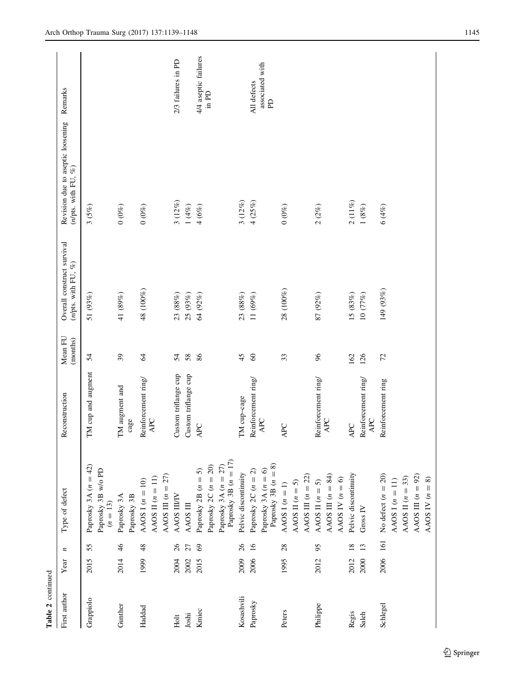| Table 2 continued |      |                  |                                                                |                                   |                     |                                                          |                                                              |                                 |
|-------------------|------|------------------|----------------------------------------------------------------|-----------------------------------|---------------------|----------------------------------------------------------|--------------------------------------------------------------|---------------------------------|
| First author      | Year | $\boldsymbol{z}$ | Type of defect                                                 | Reconstruction                    | Mean FU<br>(months) | Overall construct survival<br>( $n/p$ ts. with FU, $%$ ) | Revision due to aseptic loosening<br>( $n/p$ ts. with FU, %) | Remarks                         |
| Grappiolo         | 2015 | 55               | Paprosky 3A $(n = 42)$<br>Paprosky 3B w/o PD<br>$(n=13)$       | TM cup and augment                | 54                  | 51 $(93%)$                                               | 3(5%)                                                        |                                 |
| Gunther           | 2014 | $\frac{4}{6}$    | Paprosky 3A<br>Paprosky 3B                                     | TM augment and<br>cage            | $\overline{39}$     | 41 (89%)                                                 | $0\ (0\%)$                                                   |                                 |
| Haddad            | 1999 | 48               | AAOS III $(n = 27)$<br>AAOS II $(n = 11)$<br>AAOS I $(n = 10)$ | Reinforcement ring/<br>APC        | 2                   | 48 (100%)                                                | $0\ (0\%)$                                                   |                                 |
| Holt              | 2004 | $\delta$         | AAOS IIIIV                                                     | Custom triflange cup              | 54                  | $23~(88\%)$                                              | $3\ (12\%)$                                                  | 2/3 failures in PD              |
| Joshi             | 2002 | 27               | AAOS III                                                       | Custom triflange cup              | 58                  | 25(93%)                                                  | $1~(4\%)$                                                    |                                 |
| Kmiec             | 2015 | $\mathcal{S}$    | Paprosky 2B $(n = 5)$                                          | APC                               | 86                  | 64 (92%)                                                 | $4(6\%)$                                                     | 4/4 aseptic failures            |
|                   |      |                  | Paprosky 2C $(n = 20)$                                         |                                   |                     |                                                          |                                                              | in PD                           |
|                   |      |                  | Paprosky 3B $(n = 17)$<br>Paprosky 3A $(n = 27)$               |                                   |                     |                                                          |                                                              |                                 |
| Kosashvili        | 2009 | 26               | Pelvic discontinuity                                           | TM cup-cage                       | 45                  | 23(88%)                                                  | 3(12%)                                                       |                                 |
| Paprosky          | 2006 | $\overline{16}$  | Paprosky $2C(n = 2)$                                           | Reinforcement ring                | $\infty$            | 11(69%)                                                  | 4(25%)                                                       | All defects                     |
|                   |      |                  | Paprosky 3B $(n = 8)$<br>Paprosky 3A $(n = 6)$                 | APC                               |                     |                                                          |                                                              | associated with<br>$\mathbf{p}$ |
| Peters            | 1995 | 28               | AAOS I $(n = 1)$                                               | APC                               | 33                  | 28 (100%)                                                | $0\ (0\%)$                                                   |                                 |
|                   |      |                  | AAOS II $(n = 5)$                                              |                                   |                     |                                                          |                                                              |                                 |
|                   |      |                  | AAOS III $(n = 22)$                                            |                                   |                     |                                                          |                                                              |                                 |
| Philippe          | 2012 | 95               | AAOS III $(n = 84)$<br>AAOS II $(n = 5)$                       | Reinforcement ring/<br><b>APC</b> | 96                  | 87(92%)                                                  | $2(2\%)$                                                     |                                 |
|                   |      |                  | AAOS IV $(n = 6)$                                              |                                   |                     |                                                          |                                                              |                                 |
| Regis             | 2012 | $\overline{18}$  | Pelvic discontinuity                                           | <b>APC</b>                        | 162                 | 15(83%)                                                  | $2\ (11\%)$                                                  |                                 |
| Saleh             | 2000 | 13               | Gross IV                                                       | Reinforcement ring<br>APC         | 126                 | 10(77%)                                                  | $1 \ (8\%)$                                                  |                                 |
| Schlegel          | 2006 | 161              | No defect $(n = 20)$                                           | Reinforcement ring                | 72                  | 149 (93%)                                                | 6(4%)                                                        |                                 |
|                   |      |                  | AAOS I $(n = 11)$                                              |                                   |                     |                                                          |                                                              |                                 |
|                   |      |                  | AAOS II $(n = 33)$                                             |                                   |                     |                                                          |                                                              |                                 |
|                   |      |                  | AAOS III $(n = 92)$                                            |                                   |                     |                                                          |                                                              |                                 |
|                   |      |                  | AAOS IV $(n = 8)$                                              |                                   |                     |                                                          |                                                              |                                 |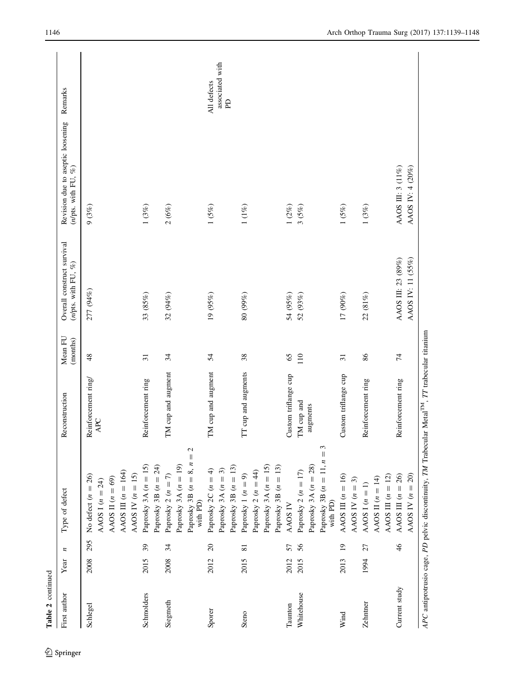| Table 2 continued     |              |                 |                                                                                                               |                                                |                     |                                                       |                                                                 |                                                |
|-----------------------|--------------|-----------------|---------------------------------------------------------------------------------------------------------------|------------------------------------------------|---------------------|-------------------------------------------------------|-----------------------------------------------------------------|------------------------------------------------|
| First author          | Year         | n               | Type of defect                                                                                                | Reconstruction                                 | Mean FU<br>(months) | Overall construct survival<br>(n/pts. with FU, $\%$ ) | Revision due to aseptic loosening<br>( $n/p$ ts. with FU, $%$ ) | Remarks                                        |
| Schlegel              | 2008         | 295             | AAOS III $(n = 164)$<br>AAOS IV $(n = 15)$<br>No defect $(n = 26)$<br>AAOS II $(n = 69)$<br>AAOS I $(n = 24)$ | Reinforcement ring/<br><b>APC</b>              | 48                  | 277 (94%)                                             | 9(3%)                                                           |                                                |
| Schmolders            | 2015         | 39              | Paprosky 3A $(n = 15)$<br>Paprosky 3B $(n = 24)$                                                              | Reinforcement ring                             | $\overline{31}$     | 33 (85%)                                              | $1~(3\%)$                                                       |                                                |
| Siegmeth              | 2008         | 34              | Paprosky 3B $(n = 8, n = 2)$<br>Paprosky 3A $(n = 19)$<br>Paprosky 2 $(n = 7)$<br>with PD)                    | TM cup and augment                             | 34                  | 32 (94%)                                              | $2\ (6\%)$                                                      |                                                |
| Sporer                | 2012         | $\overline{c}$  | Paprosky 3B $(n = 13)$<br>Paprosky 2C $(n = 4)$<br>Paprosky 3A $(n = 3)$                                      | TM cup and augment                             | 54                  | 19(95%)                                               | $1(5\%)$                                                        | associated with<br>All defects<br>$\mathbf{p}$ |
| Steno                 | 2015         | $\overline{81}$ | Paprosky 3A $(n = 15)$<br>Paprosky 3B $(n = 13)$<br>Paprosky 2 $(n = 44)$<br>Paprosky 1 $(n = 9)$             | TT cup and augments                            | 38                  | 80 (99%)                                              | $1~(1\%)$                                                       |                                                |
| Whitehouse<br>Taunton | 2012<br>2015 | 56<br>57        | Paprosky 3B $(n = 11, n = 3$<br>with PD)<br>Paprosky 3A $(n = 28)$<br>Paprosky 2 $(n = 17)$<br>AAOS IV        | Custom triflange cup<br>TM cup and<br>augments | 65<br>110           | 54 (95%)<br>52 ( $93%$ )                              | $1\ (2\%)$<br>$3(5\%)$                                          |                                                |
| Wind                  | 2013         | $\overline{0}$  | AAOS III $(n = 16)$<br>AAOS IV $(n = 3)$                                                                      | Custom triflange cup                           | $\overline{31}$     | 17 (90%)                                              | $1(5\%)$                                                        |                                                |
| Zehntner              | 1994         | 27              | AAOS III $(n = 12)$<br>AAOS II $(n = 14)$<br>AAOS I $(n = 1)$                                                 | Reinforcement ring                             | 86                  | 22 (81%)                                              | $1~(3\%)$                                                       |                                                |
| Current study         |              | $\frac{4}{6}$   | AAOS IV $(n = 20)$<br>AAOS III $(n = 26)$                                                                     | Reinforcement ring                             | 74                  | AAOS IV: 11 (55%)<br>AAOS III: 23 (89%)               | AAOS IV: 4 (20%)<br>AAOS II: 3 (11%)                            |                                                |
|                       |              |                 | APC antiprotrusio cage, PD pelvic discontinuity, TM Trabecular Metal <sup>TM</sup> , TT trabecular titanium   |                                                |                     |                                                       |                                                                 |                                                |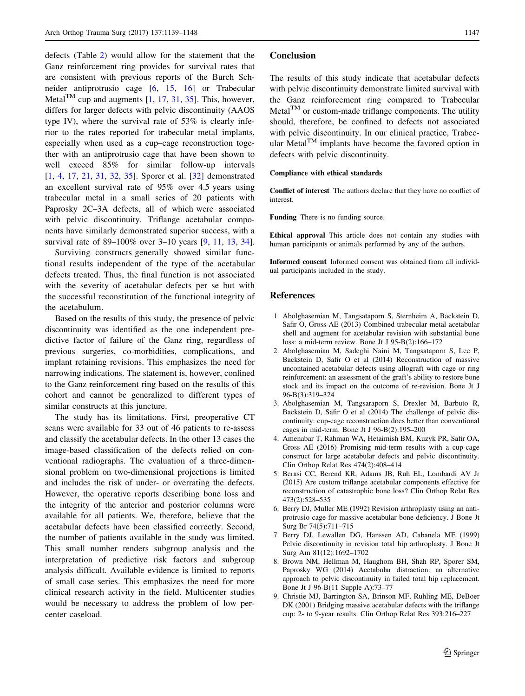<span id="page-8-0"></span>defects (Table [2](#page-5-0)) would allow for the statement that the Ganz reinforcement ring provides for survival rates that are consistent with previous reports of the Burch Schneider antiprotrusio cage [6, [15,](#page-9-0) [16](#page-9-0)] or Trabecular Metal<sup>TM</sup> cup and augments  $[1, 17, 31, 35]$  $[1, 17, 31, 35]$  $[1, 17, 31, 35]$  $[1, 17, 31, 35]$  $[1, 17, 31, 35]$  $[1, 17, 31, 35]$  $[1, 17, 31, 35]$ . This, however, differs for larger defects with pelvic discontinuity (AAOS type IV), where the survival rate of 53% is clearly inferior to the rates reported for trabecular metal implants, especially when used as a cup–cage reconstruction together with an antiprotrusio cage that have been shown to well exceed 85% for similar follow-up intervals [1, 4, [17,](#page-9-0) [21,](#page-9-0) [31,](#page-9-0) [32,](#page-9-0) [35\]](#page-9-0). Sporer et al. [\[32](#page-9-0)] demonstrated an excellent survival rate of 95% over 4.5 years using trabecular metal in a small series of 20 patients with Paprosky 2C–3A defects, all of which were associated with pelvic discontinuity. Triflange acetabular components have similarly demonstrated superior success, with a survival rate of 89–100% over 3–10 years [9, [11,](#page-9-0) [13](#page-9-0), [34](#page-9-0)].

Surviving constructs generally showed similar functional results independent of the type of the acetabular defects treated. Thus, the final function is not associated with the severity of acetabular defects per se but with the successful reconstitution of the functional integrity of the acetabulum.

Based on the results of this study, the presence of pelvic discontinuity was identified as the one independent predictive factor of failure of the Ganz ring, regardless of previous surgeries, co-morbidities, complications, and implant retaining revisions. This emphasizes the need for narrowing indications. The statement is, however, confined to the Ganz reinforcement ring based on the results of this cohort and cannot be generalized to different types of similar constructs at this juncture.

The study has its limitations. First, preoperative CT scans were available for 33 out of 46 patients to re-assess and classify the acetabular defects. In the other 13 cases the image-based classification of the defects relied on conventional radiographs. The evaluation of a three-dimensional problem on two-dimensional projections is limited and includes the risk of under- or overrating the defects. However, the operative reports describing bone loss and the integrity of the anterior and posterior columns were available for all patients. We, therefore, believe that the acetabular defects have been classified correctly. Second, the number of patients available in the study was limited. This small number renders subgroup analysis and the interpretation of predictive risk factors and subgroup analysis difficult. Available evidence is limited to reports of small case series. This emphasizes the need for more clinical research activity in the field. Multicenter studies would be necessary to address the problem of low percenter caseload.

## Conclusion

The results of this study indicate that acetabular defects with pelvic discontinuity demonstrate limited survival with the Ganz reinforcement ring compared to Trabecular  $Metal<sup>TM</sup>$  or custom-made triflange components. The utility should, therefore, be confined to defects not associated with pelvic discontinuity. In our clinical practice, Trabecular Metal<sup>TM</sup> implants have become the favored option in defects with pelvic discontinuity.

#### Compliance with ethical standards

Conflict of interest The authors declare that they have no conflict of interest.

Funding There is no funding source.

Ethical approval This article does not contain any studies with human participants or animals performed by any of the authors.

Informed consent Informed consent was obtained from all individual participants included in the study.

## References

- 1. Abolghasemian M, Tangsataporn S, Sternheim A, Backstein D, Safir O, Gross AE (2013) Combined trabecular metal acetabular shell and augment for acetabular revision with substantial bone loss: a mid-term review. Bone Jt J 95-B(2):166–172
- 2. Abolghasemian M, Sadeghi Naini M, Tangsataporn S, Lee P, Backstein D, Safir O et al (2014) Reconstruction of massive uncontained acetabular defects using allograft with cage or ring reinforcement: an assessment of the graft's ability to restore bone stock and its impact on the outcome of re-revision. Bone Jt J 96-B(3):319–324
- 3. Abolghasemian M, Tangsaraporn S, Drexler M, Barbuto R, Backstein D, Safir O et al (2014) The challenge of pelvic discontinuity: cup-cage reconstruction does better than conventional cages in mid-term. Bone Jt J 96-B(2):195–200
- 4. Amenabar T, Rahman WA, Hetaimish BM, Kuzyk PR, Safir OA, Gross AE (2016) Promising mid-term results with a cup-cage construct for large acetabular defects and pelvic discontinuity. Clin Orthop Relat Res 474(2):408–414
- 5. Berasi CC, Berend KR, Adams JB, Ruh EL, Lombardi AV Jr (2015) Are custom triflange acetabular components effective for reconstruction of catastrophic bone loss? Clin Orthop Relat Res 473(2):528–535
- 6. Berry DJ, Muller ME (1992) Revision arthroplasty using an antiprotrusio cage for massive acetabular bone deficiency. J Bone Jt Surg Br 74(5):711–715
- 7. Berry DJ, Lewallen DG, Hanssen AD, Cabanela ME (1999) Pelvic discontinuity in revision total hip arthroplasty. J Bone Jt Surg Am 81(12):1692–1702
- 8. Brown NM, Hellman M, Haughom BH, Shah RP, Sporer SM, Paprosky WG (2014) Acetabular distraction: an alternative approach to pelvic discontinuity in failed total hip replacement. Bone Jt J 96-B(11 Supple A):73–77
- 9. Christie MJ, Barrington SA, Brinson MF, Ruhling ME, DeBoer DK (2001) Bridging massive acetabular defects with the triflange cup: 2- to 9-year results. Clin Orthop Relat Res 393:216–227